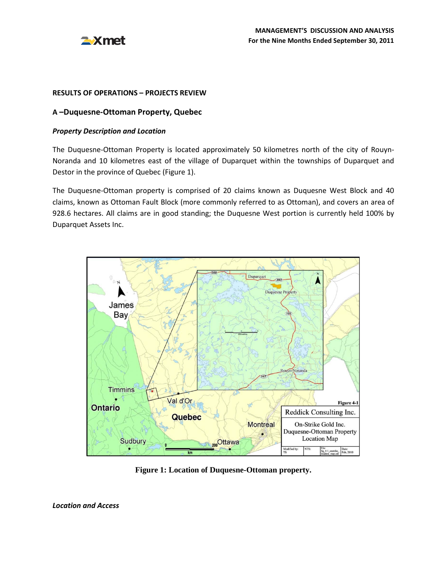

#### **RESULTS OF OPERATIONS – PROJECTS REVIEW**

### **A –Duquesne-Ottoman Property, Quebec**

#### *Property Description and Location*

The Duquesne-Ottoman Property is located approximately 50 kilometres north of the city of Rouyn-Noranda and 10 kilometres east of the village of Duparquet within the townships of Duparquet and Destor in the province of Quebec (Figure 1).

The Duquesne-Ottoman property is comprised of 20 claims known as Duquesne West Block and 40 claims, known as Ottoman Fault Block (more commonly referred to as Ottoman), and covers an area of 928.6 hectares. All claims are in good standing; the Duquesne West portion is currently held 100% by Duparquet Assets Inc.



**Figure 1: Location of Duquesne-Ottoman property.**

*Location and Access*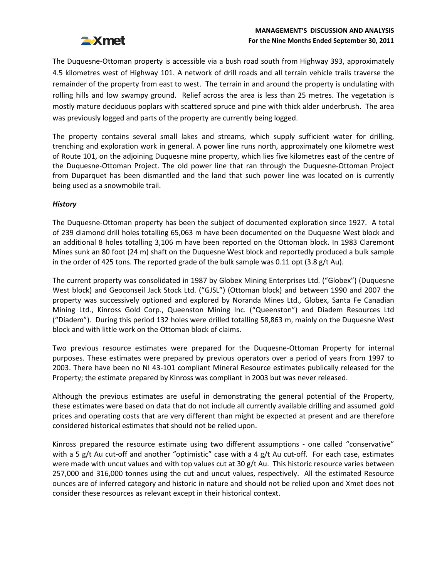# **EXmet**

# **MANAGEMENT'S DISCUSSION AND ANALYSIS For the Nine Months Ended September 30, 2011**

The Duquesne-Ottoman property is accessible via a bush road south from Highway 393, approximately 4.5 kilometres west of Highway 101. A network of drill roads and all terrain vehicle trails traverse the remainder of the property from east to west. The terrain in and around the property is undulating with rolling hills and low swampy ground. Relief across the area is less than 25 metres. The vegetation is mostly mature deciduous poplars with scattered spruce and pine with thick alder underbrush. The area was previously logged and parts of the property are currently being logged.

The property contains several small lakes and streams, which supply sufficient water for drilling, trenching and exploration work in general. A power line runs north, approximately one kilometre west of Route 101, on the adjoining Duquesne mine property, which lies five kilometres east of the centre of the Duquesne-Ottoman Project. The old power line that ran through the Duquesne-Ottoman Project from Duparquet has been dismantled and the land that such power line was located on is currently being used as a snowmobile trail.

# *History*

The Duquesne-Ottoman property has been the subject of documented exploration since 1927. A total of 239 diamond drill holes totalling 65,063 m have been documented on the Duquesne West block and an additional 8 holes totalling 3,106 m have been reported on the Ottoman block. In 1983 Claremont Mines sunk an 80 foot (24 m) shaft on the Duquesne West block and reportedly produced a bulk sample in the order of 425 tons. The reported grade of the bulk sample was 0.11 opt (3.8 g/t Au).

The current property was consolidated in 1987 by Globex Mining Enterprises Ltd. ("Globex") (Duquesne West block) and Geoconseil Jack Stock Ltd. ("GJSL") (Ottoman block) and between 1990 and 2007 the property was successively optioned and explored by Noranda Mines Ltd., Globex, Santa Fe Canadian Mining Ltd., Kinross Gold Corp., Queenston Mining Inc. ("Queenston") and Diadem Resources Ltd ("Diadem"). During this period 132 holes were drilled totalling 58,863 m, mainly on the Duquesne West block and with little work on the Ottoman block of claims.

Two previous resource estimates were prepared for the Duquesne-Ottoman Property for internal purposes. These estimates were prepared by previous operators over a period of years from 1997 to 2003. There have been no NI 43-101 compliant Mineral Resource estimates publically released for the Property; the estimate prepared by Kinross was compliant in 2003 but was never released.

Although the previous estimates are useful in demonstrating the general potential of the Property, these estimates were based on data that do not include all currently available drilling and assumed gold prices and operating costs that are very different than might be expected at present and are therefore considered historical estimates that should not be relied upon.

Kinross prepared the resource estimate using two different assumptions - one called "conservative" with a 5 g/t Au cut-off and another "optimistic" case with a 4 g/t Au cut-off. For each case, estimates were made with uncut values and with top values cut at 30 g/t Au. This historic resource varies between 257,000 and 316,000 tonnes using the cut and uncut values, respectively. All the estimated Resource ounces are of inferred category and historic in nature and should not be relied upon and Xmet does not consider these resources as relevant except in their historical context.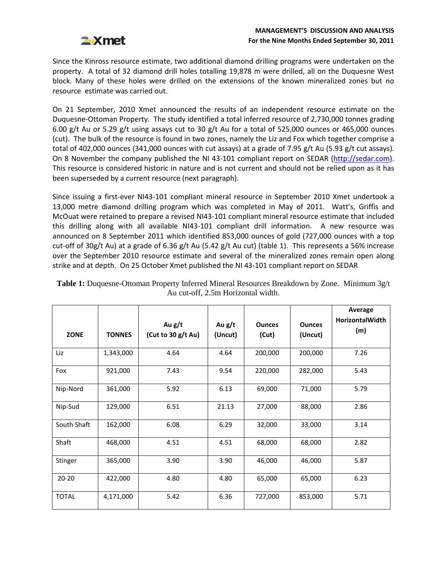

Since the Kinross resource estimate, two additional diamond drilling programs were undertaken on the property. A total of 32 diamond drill holes totalling 19,878 m were drilled, all on the Duquesne West block. Many of these holes were drilled on the extensions of the known mineralized zones but no resource estimate was carried out.

On 21 September, 2010 Xmet announced the results of an independent resource estimate on the Duquesne-Ottoman Property. The study identified a total inferred resource of 2,730,000 tonnes grading 6.00 g/t Au or 5.29 g/t using assays cut to 30 g/t Au for a total of 525,000 ounces or 465,000 ounces (cut). The bulk of the resource is found in two zones, namely the Liz and Fox which together comprise a total of 402,000 ounces (341,000 ounces with cut assays) at a grade of 7.95 g/t Au (5.93 g/t cut assays). On 8 November the company published the NI 43-101 compliant report on SEDAR [\(http://sedar.com\)](http://sedar.com/). This resource is considered historic in nature and is not current and should not be relied upon as it has been superseded by a current resource (next paragraph).

Since issuing a first-ever NI43-101 compliant mineral resource in September 2010 Xmet undertook a 13,000 metre diamond drilling program which was completed in May of 2011. Watt's, Griffis and McOuat were retained to prepare a revised NI43-101 compliant mineral resource estimate that included this drilling along with all available NI43-101 compliant drill information. A new resource was announced on 8 September 2011 which identified 853,000 ounces of gold (727,000 ounces with a top cut-off of 30g/t Au) at a grade of 6.36 g/t Au (5.42 g/t Au cut) (table 1). This represents a 56% increase over the September 2010 resource estimate and several of the mineralized zones remain open along strike and at depth. On 25 October Xmet published the NI 43-101 compliant report on SEDAR

|              |               |                    |         |               |               | Average                       |
|--------------|---------------|--------------------|---------|---------------|---------------|-------------------------------|
|              |               | Au g/t             | Au g/t  | <b>Ounces</b> | <b>Ounces</b> | <b>HorizontalWidth</b><br>(m) |
| <b>ZONE</b>  | <b>TONNES</b> | (Cut to 30 g/t Au) | (Uncut) | (Cut)         | (Uncut)       |                               |
| Liz          | 1,343,000     | 4.64               | 4.64    | 200,000       | 200,000       | 7.26                          |
| Fox          | 921,000       | 7.43               | 9.54    | 220,000       | 282,000       | 5.43                          |
| Nip-Nord     | 361,000       | 5.92               | 6.13    | 69,000        | 71,000        | 5.79                          |
| Nip-Sud      | 129,000       | 6.51               | 21.13   | 27,000        | 88,000        | 2.86                          |
| South Shaft  | 162,000       | 6.08               | 6.29    | 32,000        | 33,000        | 3.14                          |
| Shaft        | 468,000       | 4.51               | 4.51    | 68,000        | 68,000        | 2.82                          |
| Stinger      | 365,000       | 3.90               | 3.90    | 46,000        | 46,000        | 5.87                          |
| $20 - 20$    | 422,000       | 4.80               | 4.80    | 65,000        | 65,000        | 6.23                          |
| <b>TOTAL</b> | 4,171,000     | 5.42               | 6.36    | 727,000       | 853,000       | 5.71                          |

| <b>Table 1:</b> Duquesne-Ottoman Property Inferred Mineral Resources Breakdown by Zone. Minimum 3g/t |  |
|------------------------------------------------------------------------------------------------------|--|
| Au cut-off, 2.5m Horizontal width.                                                                   |  |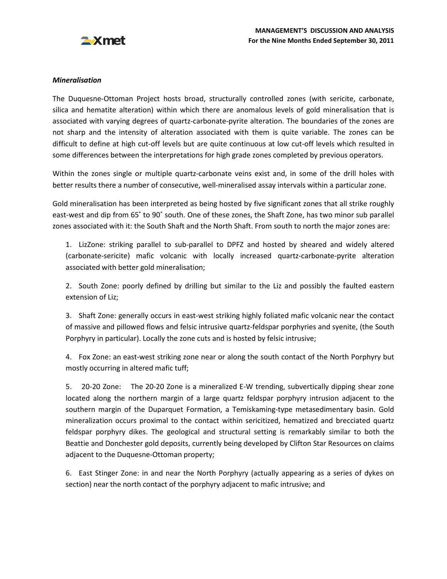

# *Mineralisation*

The Duquesne-Ottoman Project hosts broad, structurally controlled zones (with sericite, carbonate, silica and hematite alteration) within which there are anomalous levels of gold mineralisation that is associated with varying degrees of quartz-carbonate-pyrite alteration. The boundaries of the zones are not sharp and the intensity of alteration associated with them is quite variable. The zones can be difficult to define at high cut-off levels but are quite continuous at low cut-off levels which resulted in some differences between the interpretations for high grade zones completed by previous operators.

Within the zones single or multiple quartz-carbonate veins exist and, in some of the drill holes with better results there a number of consecutive, well-mineralised assay intervals within a particular zone.

Gold mineralisation has been interpreted as being hosted by five significant zones that all strike roughly east-west and dip from 65˚ to 90˚ south. One of these zones, the Shaft Zone, has two minor sub parallel zones associated with it: the South Shaft and the North Shaft. From south to north the major zones are:

1. LizZone: striking parallel to sub-parallel to DPFZ and hosted by sheared and widely altered (carbonate-sericite) mafic volcanic with locally increased quartz-carbonate-pyrite alteration associated with better gold mineralisation;

2. South Zone: poorly defined by drilling but similar to the Liz and possibly the faulted eastern extension of Liz;

3. Shaft Zone: generally occurs in east-west striking highly foliated mafic volcanic near the contact of massive and pillowed flows and felsic intrusive quartz-feldspar porphyries and syenite, (the South Porphyry in particular). Locally the zone cuts and is hosted by felsic intrusive;

4. Fox Zone: an east-west striking zone near or along the south contact of the North Porphyry but mostly occurring in altered mafic tuff;

5. 20-20 Zone: The 20-20 Zone is a mineralized E-W trending, subvertically dipping shear zone located along the northern margin of a large quartz feldspar porphyry intrusion adjacent to the southern margin of the Duparquet Formation, a Temiskaming-type metasedimentary basin. Gold mineralization occurs proximal to the contact within sericitized, hematized and brecciated quartz feldspar porphyry dikes. The geological and structural setting is remarkably similar to both the Beattie and Donchester gold deposits, currently being developed by Clifton Star Resources on claims adjacent to the Duquesne-Ottoman property;

6. East Stinger Zone: in and near the North Porphyry (actually appearing as a series of dykes on section) near the north contact of the porphyry adjacent to mafic intrusive; and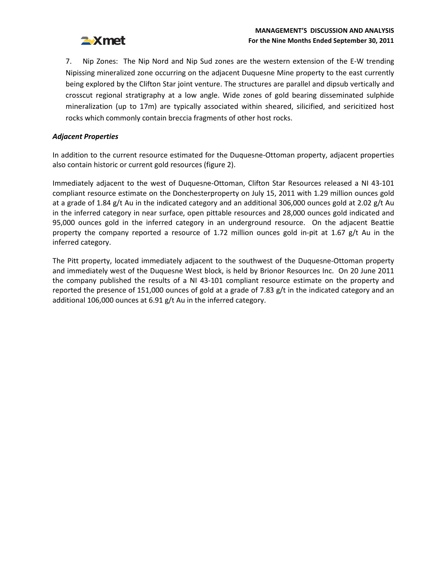

7. Nip Zones: The Nip Nord and Nip Sud zones are the western extension of the E-W trending Nipissing mineralized zone occurring on the adjacent Duquesne Mine property to the east currently being explored by the Clifton Star joint venture. The structures are parallel and dipsub vertically and crosscut regional stratigraphy at a low angle. Wide zones of gold bearing disseminated sulphide mineralization (up to 17m) are typically associated within sheared, silicified, and sericitized host rocks which commonly contain breccia fragments of other host rocks.

# *Adjacent Properties*

In addition to the current resource estimated for the Duquesne-Ottoman property, adjacent properties also contain historic or current gold resources (figure 2).

Immediately adjacent to the west of Duquesne-Ottoman, Clifton Star Resources released a NI 43-101 compliant resource estimate on the Donchesterproperty on July 15, 2011 with 1.29 million ounces gold at a grade of 1.84 g/t Au in the indicated category and an additional 306,000 ounces gold at 2.02 g/t Au in the inferred category in near surface, open pittable resources and 28,000 ounces gold indicated and 95,000 ounces gold in the inferred category in an underground resource. On the adjacent Beattie property the company reported a resource of 1.72 million ounces gold in-pit at 1.67 g/t Au in the inferred category.

The Pitt property, located immediately adjacent to the southwest of the Duquesne-Ottoman property and immediately west of the Duquesne West block, is held by Brionor Resources Inc. On 20 June 2011 the company published the results of a NI 43-101 compliant resource estimate on the property and reported the presence of 151,000 ounces of gold at a grade of 7.83 g/t in the indicated category and an additional 106,000 ounces at 6.91 g/t Au in the inferred category.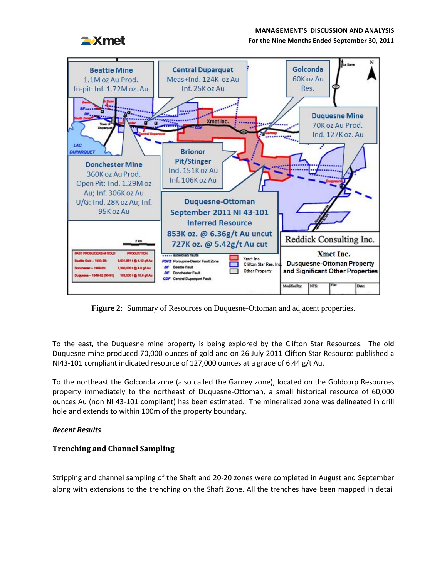## **MANAGEMENT'S DISCUSSION AND ANALYSIS**



#### **For the Nine Months Ended September 30, 2011**



**Figure 2:** Summary of Resources on Duquesne-Ottoman and adjacent properties.

To the east, the Duquesne mine property is being explored by the Clifton Star Resources. The old Duquesne mine produced 70,000 ounces of gold and on 26 July 2011 Clifton Star Resource published a NI43-101 compliant indicated resource of 127,000 ounces at a grade of 6.44 g/t Au.

To the northeast the Golconda zone (also called the Garney zone), located on the Goldcorp Resources property immediately to the northeast of Duquesne-Ottoman, a small historical resource of 60,000 ounces Au (non NI 43-101 compliant) has been estimated. The mineralized zone was delineated in drill hole and extends to within 100m of the property boundary.

## *Recent Results*

# **Trenching and Channel Sampling**

Stripping and channel sampling of the Shaft and 20-20 zones were completed in August and September along with extensions to the trenching on the Shaft Zone. All the trenches have been mapped in detail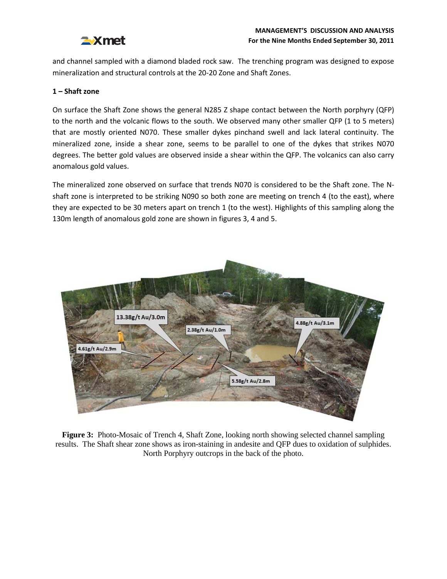

and channel sampled with a diamond bladed rock saw. The trenching program was designed to expose mineralization and structural controls at the 20-20 Zone and Shaft Zones.

### **1 – Shaft zone**

On surface the Shaft Zone shows the general N285 Z shape contact between the North porphyry (QFP) to the north and the volcanic flows to the south. We observed many other smaller QFP (1 to 5 meters) that are mostly oriented N070. These smaller dykes pinchand swell and lack lateral continuity. The mineralized zone, inside a shear zone, seems to be parallel to one of the dykes that strikes N070 degrees. The better gold values are observed inside a shear within the QFP. The volcanics can also carry anomalous gold values.

The mineralized zone observed on surface that trends N070 is considered to be the Shaft zone. The Nshaft zone is interpreted to be striking N090 so both zone are meeting on trench 4 (to the east), where they are expected to be 30 meters apart on trench 1 (to the west). Highlights of this sampling along the 130m length of anomalous gold zone are shown in figures 3, 4 and 5.



**Figure 3:** Photo-Mosaic of Trench 4, Shaft Zone, looking north showing selected channel sampling results. The Shaft shear zone shows as iron-staining in andesite and QFP dues to oxidation of sulphides. North Porphyry outcrops in the back of the photo.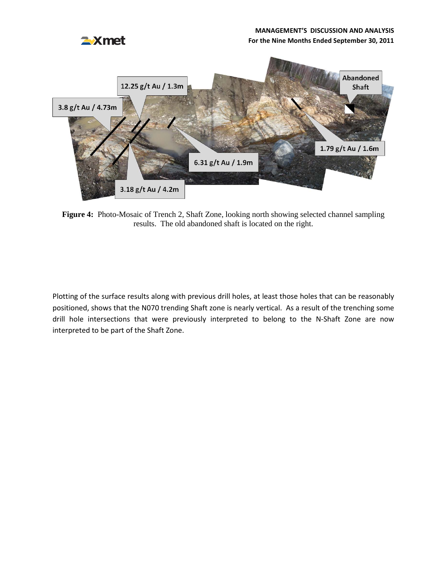# **MANAGEMENT'S DISCUSSION AND ANALYSIS**



#### **For the Nine Months Ended September 30, 2011**



**Figure 4:** Photo-Mosaic of Trench 2, Shaft Zone, looking north showing selected channel sampling results. The old abandoned shaft is located on the right.

Plotting of the surface results along with previous drill holes, at least those holes that can be reasonably positioned, shows that the N070 trending Shaft zone is nearly vertical. As a result of the trenching some drill hole intersections that were previously interpreted to belong to the N-Shaft Zone are now interpreted to be part of the Shaft Zone.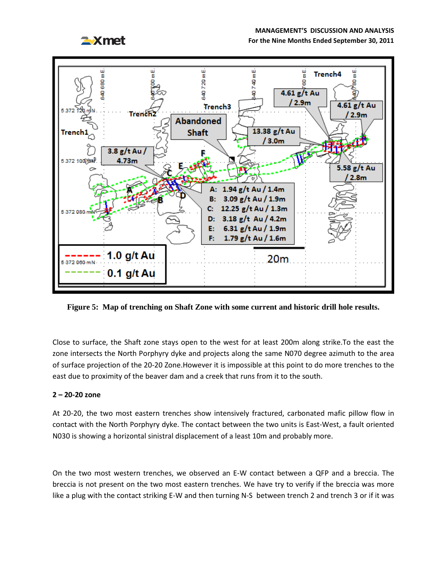#### **MANAGEMENT'S DISCUSSION AND ANALYSIS**



**For the Nine Months Ended September 30, 2011**



**Figure 5: Map of trenching on Shaft Zone with some current and historic drill hole results.**

Close to surface, the Shaft zone stays open to the west for at least 200m along strike.To the east the zone intersects the North Porphyry dyke and projects along the same N070 degree azimuth to the area of surface projection of the 20-20 Zone.However it is impossible at this point to do more trenches to the east due to proximity of the beaver dam and a creek that runs from it to the south.

## **2 – 20-20 zone**

At 20-20, the two most eastern trenches show intensively fractured, carbonated mafic pillow flow in contact with the North Porphyry dyke. The contact between the two units is East-West, a fault oriented N030 is showing a horizontal sinistral displacement of a least 10m and probably more.

On the two most western trenches, we observed an E-W contact between a QFP and a breccia. The breccia is not present on the two most eastern trenches. We have try to verify if the breccia was more like a plug with the contact striking E-W and then turning N-S between trench 2 and trench 3 or if it was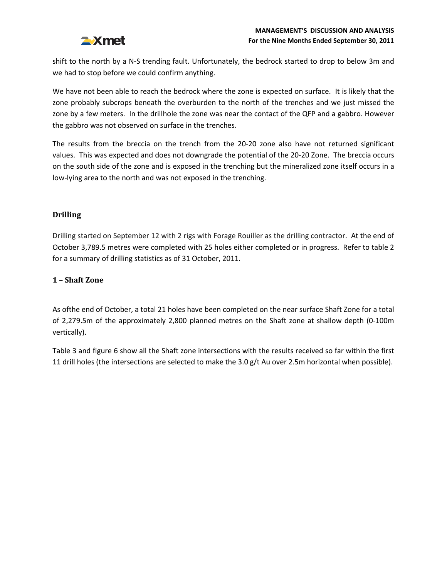

shift to the north by a N-S trending fault. Unfortunately, the bedrock started to drop to below 3m and we had to stop before we could confirm anything.

We have not been able to reach the bedrock where the zone is expected on surface. It is likely that the zone probably subcrops beneath the overburden to the north of the trenches and we just missed the zone by a few meters. In the drillhole the zone was near the contact of the QFP and a gabbro. However the gabbro was not observed on surface in the trenches.

The results from the breccia on the trench from the 20-20 zone also have not returned significant values. This was expected and does not downgrade the potential of the 20-20 Zone. The breccia occurs on the south side of the zone and is exposed in the trenching but the mineralized zone itself occurs in a low-lying area to the north and was not exposed in the trenching.

# **Drilling**

Drilling started on September 12 with 2 rigs with Forage Rouiller as the drilling contractor. At the end of October 3,789.5 metres were completed with 25 holes either completed or in progress. Refer to table 2 for a summary of drilling statistics as of 31 October, 2011.

# **1 – Shaft Zone**

As ofthe end of October, a total 21 holes have been completed on the near surface Shaft Zone for a total of 2,279.5m of the approximately 2,800 planned metres on the Shaft zone at shallow depth (0-100m vertically).

Table 3 and figure 6 show all the Shaft zone intersections with the results received so far within the first 11 drill holes (the intersections are selected to make the 3.0 g/t Au over 2.5m horizontal when possible).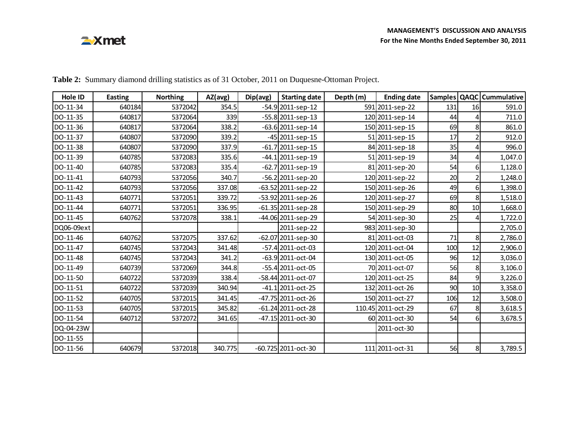# **EXmet**

| Hole ID    | <b>Easting</b> | <b>Northing</b> | AZ(avg) | Dip(avg) | <b>Starting date</b>   | Depth (m) | <b>Ending date</b> |     |                | Samples   QAQC   Cummulative |
|------------|----------------|-----------------|---------|----------|------------------------|-----------|--------------------|-----|----------------|------------------------------|
| DO-11-34   | 640184         | 5372042         | 354.5   |          | $-54.9$ 2011-sep-12    |           | 591 2011-sep-22    | 131 | 16             | 591.0                        |
| DO-11-35   | 640817         | 5372064         | 339     |          | $-55.8$  2011-sep-13   |           | 120 2011-sep-14    | 44  |                | 711.0                        |
| DO-11-36   | 640817         | 5372064         | 338.2   |          | $-63.6$ 2011-sep-14    |           | 150 2011-sep-15    | 69  | 8              | 861.0                        |
| DO-11-37   | 640807         | 5372090         | 339.2   |          | -45 2011-sep-15        |           | 51 2011-sep-15     | 17  | 2              | 912.0                        |
| DO-11-38   | 640807         | 5372090         | 337.9   |          | $-61.7$ 2011-sep-15    |           | 84 2011-sep-18     | 35  | 4              | 996.0                        |
| DO-11-39   | 640785         | 5372083         | 335.6   |          | $-44.1$  2011-sep-19   |           | 51 2011-sep-19     | 34  |                | 1,047.0                      |
| DO-11-40   | 640785         | 5372083         | 335.4   |          | $-62.7$ 2011-sep-19    |           | 81 2011-sep-20     | 54  | $6 \mid$       | 1,128.0                      |
| DO-11-41   | 640793         | 5372056         | 340.7   |          | $-56.2$  2011-sep-20   |           | 120 2011-sep-22    | 20  | 2              | 1,248.0                      |
| DO-11-42   | 640793         | 5372056         | 337.08  |          | $-63.52$ 2011-sep-22   |           | 150 2011-sep-26    | 49  | $6 \mid$       | 1,398.0                      |
| DO-11-43   | 640771         | 5372051         | 339.72  |          | -53.92 2011-sep-26     |           | 120 2011-sep-27    | 69  | 8              | 1,518.0                      |
| DO-11-44   | 640771         | 5372051         | 336.95  |          | $-61.35$ 2011-sep-28   |           | 150 2011-sep-29    | 80  | 10             | 1,668.0                      |
| DO-11-45   | 640762         | 5372078         | 338.1   |          | -44.06 2011-sep-29     |           | 54 2011-sep-30     | 25  |                | 1,722.0                      |
| DQ06-09ext |                |                 |         |          | 2011-sep-22            |           | 983 2011-sep-30    |     |                | 2,705.0                      |
| DO-11-46   | 640762         | 5372075         | 337.62  |          | $-62.07$  2011-sep-30  |           | 81 2011-oct-03     | 71  | 8              | 2,786.0                      |
| DO-11-47   | 640745         | 5372043         | 341.48  |          | -57.4 2011-oct-03      |           | 120 2011-oct-04    | 100 | 12             | 2,906.0                      |
| DO-11-48   | 640745         | 5372043         | 341.2   |          | $-63.9$ 2011-oct-04    |           | 130 2011-oct-05    | 96  | 12             | 3,036.0                      |
| DO-11-49   | 640739         | 5372069         | 344.8   |          | $-55.4$ 2011-oct-05    |           | 70 2011-oct-07     | 56  | 8              | 3,106.0                      |
| DO-11-50   | 640722         | 5372039         | 338.4   |          | -58.44 2011-oct-07     |           | 120 2011-oct-25    | 84  | 9              | 3,226.0                      |
| DO-11-51   | 640722         | 5372039         | 340.94  |          | $-41.1$   2011-oct-25  |           | 132 2011-oct-26    | 90  | 10             | 3,358.0                      |
| DO-11-52   | 640705         | 5372015         | 341.45  |          | -47.75 2011-oct-26     |           | 150 2011-oct-27    | 106 | 12             | 3,508.0                      |
| DO-11-53   | 640705         | 5372015         | 345.82  |          | $-61.24$ 2011-oct-28   |           | 110.45 2011-oct-29 | 67  | 8              | 3,618.5                      |
| DO-11-54   | 640712         | 5372072         | 341.65  |          | $-47.15$   2011-oct-30 |           | 60 2011-oct-30     | 54  | 61             | 3,678.5                      |
| DQ-04-23W  |                |                 |         |          |                        |           | 2011-oct-30        |     |                |                              |
| DO-11-55   |                |                 |         |          |                        |           |                    |     |                |                              |
| DO-11-56   | 640679         | 5372018         | 340.775 |          | $-60.725$  2011-oct-30 |           | 111 2011-oct-31    | 56  | 8 <sup>1</sup> | 3,789.5                      |

**Table 2:** Summary diamond drilling statistics as of 31 October, 2011 on Duquesne-Ottoman Project.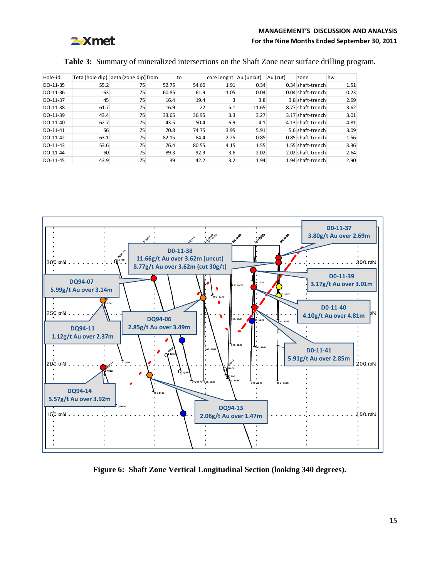

# **MANAGEMENT'S DISCUSSION AND ANALYSIS For the Nine Months Ended September 30, 2011**

#### **Table 3:** Summary of mineralized intersections on the Shaft Zone near surface drilling program.

| Hole-id  | Teta (hole dip) beta (zone dip) from |    |       | to    | core lenght   Au (uncut) |       | Au (cut) | zone              | hw   |
|----------|--------------------------------------|----|-------|-------|--------------------------|-------|----------|-------------------|------|
| DO-11-35 | 55.2                                 | 75 | 52.75 | 54.66 | 1.91                     | 0.34  |          | 0.34 shaft-trench | 1.51 |
| DO-11-36 | $-63$                                | 75 | 60.85 | 61.9  | 1.05                     | 0.04  |          | 0.04 shaft-trench | 0.23 |
| DO-11-37 | 45                                   | 75 | 16.4  | 19.4  |                          | 3.8   |          | 3.8 shaft-trench  | 2.69 |
| DO-11-38 | 61.7                                 | 75 | 16.9  | 22    | 5.1                      | 11.65 |          | 8.77 shaft-trench | 3.62 |
| DO-11-39 | 43.4                                 | 75 | 33.65 | 36.95 | 3.3                      | 3.27  |          | 3.17 shaft-trench | 3.01 |
| DO-11-40 | 62.7                                 | 75 | 43.5  | 50.4  | 6.9                      | 4.1   |          | 4.13 shaft-trench | 4.81 |
| DO-11-41 | 56                                   | 75 | 70.8  | 74.75 | 3.95                     | 5.91  |          | 5.6 shaft-trench  | 3.09 |
| DO-11-42 | 63.1                                 | 75 | 82.15 | 84.4  | 2.25                     | 0.85  |          | 0.85 shaft-trench | 1.56 |
| DO-11-43 | 53.6                                 | 75 | 76.4  | 80.55 | 4.15                     | 1.55  |          | 1.55 shaft-trench | 3.36 |
| DO-11-44 | 60                                   | 75 | 89.3  | 92.9  | 3.6                      | 2.02  |          | 2.02 shaft-trench | 2.64 |
| DO-11-45 | 43.9                                 | 75 | 39    | 42.2  | 3.2                      | 1.94  |          | 1.94 shaft-trench | 2.90 |



**Figure 6: Shaft Zone Vertical Longitudinal Section (looking 340 degrees).**